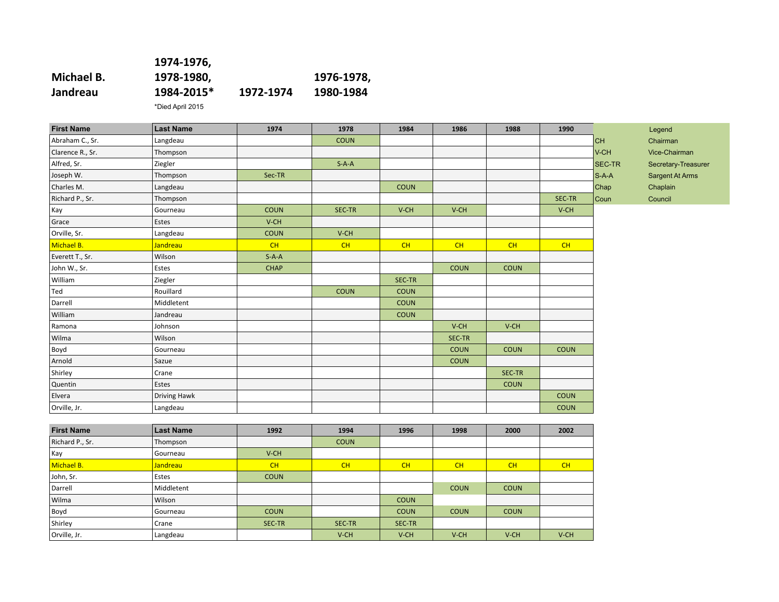|            | 1974-1976, |           |            |
|------------|------------|-----------|------------|
| Michael B. | 1978-1980, |           | 1976-1978, |
| Jandreau   | 1984-2015* | 1972-1974 | 1980-1984  |
|            |            |           |            |

\*Died April 2015

| <b>First Name</b> | <b>Last Name</b>    | 1974        | 1978        | 1984        | 1986        | 1988        | 1990        |         | Legend              |
|-------------------|---------------------|-------------|-------------|-------------|-------------|-------------|-------------|---------|---------------------|
| Abraham C., Sr.   | Langdeau            |             | <b>COUN</b> |             |             |             |             | cн      | Chairman            |
| Clarence R., Sr.  | Thompson            |             |             |             |             |             |             | V-CH    | Vice-Chairman       |
| Alfred, Sr.       | Ziegler             |             | $S-A-A$     |             |             |             |             | SEC-TR  | Secretary-Treasurer |
| Joseph W.         | Thompson            | Sec-TR      |             |             |             |             |             | $S-A-A$ | Sargent At Arms     |
| Charles M.        | Langdeau            |             |             | <b>COUN</b> |             |             |             | Chap    | Chaplain            |
| Richard P., Sr.   | Thompson            |             |             |             |             |             | SEC-TR      | Coun    | Council             |
| Kay               | Gourneau            | <b>COUN</b> | SEC-TR      | V-CH        | V-CH        |             | V-CH        |         |                     |
| Grace             | Estes               | V-CH        |             |             |             |             |             |         |                     |
| Orville, Sr.      | Langdeau            | <b>COUN</b> | V-CH        |             |             |             |             |         |                     |
| Michael B.        | Jandreau            | CH          | CH          | CH          | CH          | CH          | CH          |         |                     |
| Everett T., Sr.   | Wilson              | $S-A-A$     |             |             |             |             |             |         |                     |
| John W., Sr.      | Estes               | <b>CHAP</b> |             |             | <b>COUN</b> | <b>COUN</b> |             |         |                     |
| William           | Ziegler             |             |             | SEC-TR      |             |             |             |         |                     |
| Ted               | Rouillard           |             | <b>COUN</b> | <b>COUN</b> |             |             |             |         |                     |
| Darrell           | Middletent          |             |             | <b>COUN</b> |             |             |             |         |                     |
| William           | Jandreau            |             |             | <b>COUN</b> |             |             |             |         |                     |
| Ramona            | Johnson             |             |             |             | V-CH        | V-CH        |             |         |                     |
| Wilma             | Wilson              |             |             |             | SEC-TR      |             |             |         |                     |
| Boyd              | Gourneau            |             |             |             | <b>COUN</b> | <b>COUN</b> | <b>COUN</b> |         |                     |
| Arnold            | Sazue               |             |             |             | <b>COUN</b> |             |             |         |                     |
| Shirley           | Crane               |             |             |             |             | SEC-TR      |             |         |                     |
| Quentin           | Estes               |             |             |             |             | <b>COUN</b> |             |         |                     |
| Elvera            | <b>Driving Hawk</b> |             |             |             |             |             | <b>COUN</b> |         |                     |
| Orville, Jr.      | Langdeau            |             |             |             |             |             | <b>COUN</b> |         |                     |
|                   |                     |             |             |             |             |             |             |         |                     |
| <b>First Name</b> | <b>Last Name</b>    | 1992        | 1994        | 1996        | 1998        | 2000        | 2002        |         |                     |
| Richard P., Sr.   | Thompson            |             | <b>COUN</b> |             |             |             |             |         |                     |
| Kay               | Gourneau            | V-CH        |             |             |             |             |             |         |                     |
| Michael B.        | Jandreau            | CH          | CH          | CH          | CH          | CH          | CH          |         |                     |
| John, Sr.         | Estes               | <b>COUN</b> |             |             |             |             |             |         |                     |
| Darrell           | Middletent          |             |             |             | <b>COUN</b> | <b>COUN</b> |             |         |                     |
| Wilma             | Wilson              |             |             | <b>COUN</b> |             |             |             |         |                     |
| Boyd              | Gourneau            | <b>COUN</b> |             | <b>COUN</b> | <b>COUN</b> | <b>COUN</b> |             |         |                     |
| Shirley           | Crane               | SEC-TR      | SEC-TR      | SEC-TR      |             |             |             |         |                     |
| Orville, Jr.      | Langdeau            |             | V-CH        | V-CH        | $V$ -CH     | $V$ -CH     | $V$ -CH     |         |                     |